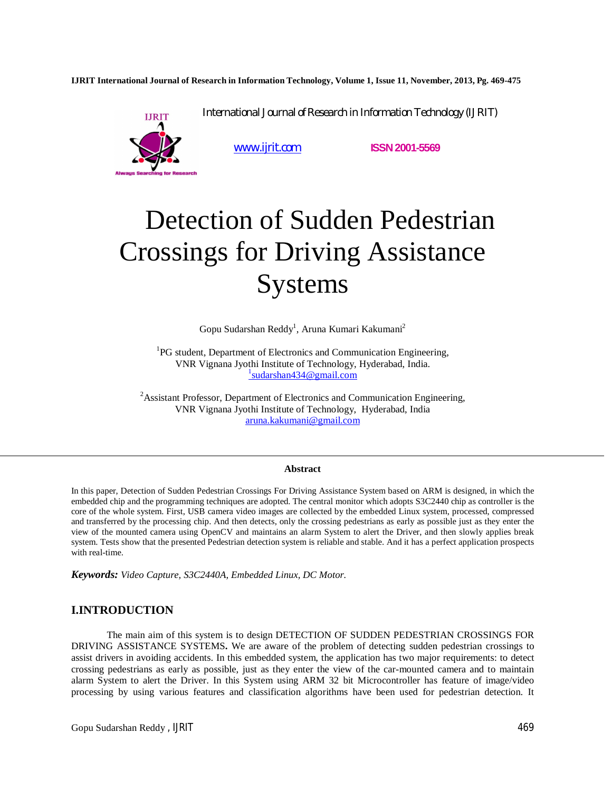**IJRIT International Journal of Research in Information Technology, Volume 1, Issue 11, November, 2013, Pg. 469-475**

International Journal of Research in Information Technology (IJRIT)



www.ijrit.com **ISSN2001-5569**

# Detection of Sudden Pedestrian Crossings for Driving Assistance Systems

Gopu Sudarshan Reddy<sup>1</sup>, Aruna Kumari Kakumani<sup>2</sup>

<sup>1</sup>PG student, Department of Electronics and Communication Engineering, VNR Vignana Jyothi Institute of Technology, Hyderabad, India. 1 sudarshan434@gmail.com

<sup>2</sup>Assistant Professor, Department of Electronics and Communication Engineering, VNR Vignana Jyothi Institute of Technology, Hyderabad, India aruna.kakumani@gmail.com

#### **Abstract**

In this paper, Detection of Sudden Pedestrian Crossings For Driving Assistance System based on ARM is designed, in which the embedded chip and the programming techniques are adopted. The central monitor which adopts S3C2440 chip as controller is the core of the whole system. First, USB camera video images are collected by the embedded Linux system, processed, compressed and transferred by the processing chip. And then detects, only the crossing pedestrians as early as possible just as they enter the view of the mounted camera using OpenCV and maintains an alarm System to alert the Driver, and then slowly applies break system. Tests show that the presented Pedestrian detection system is reliable and stable. And it has a perfect application prospects with real-time.

*Keywords: Video Capture, S3C2440A, Embedded Linux, DC Motor.* 

# **I.INTRODUCTION**

The main aim of this system is to design DETECTION OF SUDDEN PEDESTRIAN CROSSINGS FOR DRIVING ASSISTANCE SYSTEMS**.** We are aware of the problem of detecting sudden pedestrian crossings to assist drivers in avoiding accidents. In this embedded system, the application has two major requirements: to detect crossing pedestrians as early as possible, just as they enter the view of the car-mounted camera and to maintain alarm System to alert the Driver. In this System using ARM 32 bit Microcontroller has feature of image/video processing by using various features and classification algorithms have been used for pedestrian detection. It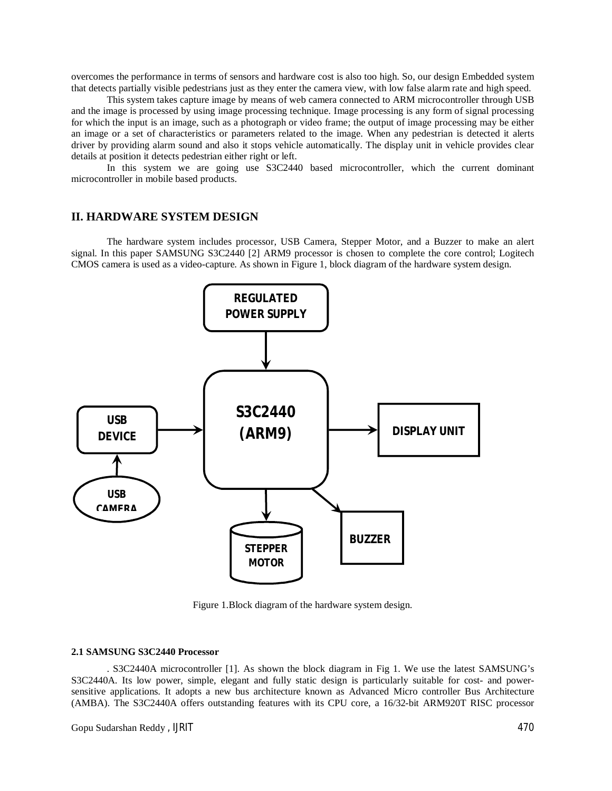overcomes the performance in terms of sensors and hardware cost is also too high. So, our design Embedded system that detects partially visible pedestrians just as they enter the camera view, with low false alarm rate and high speed.

This system takes capture image by means of web camera connected to ARM microcontroller through USB and the image is processed by using image processing technique. Image processing is any form of signal processing for which the input is an image, such as a photograph or video frame; the output of image processing may be either an image or a set of characteristics or parameters related to the image. When any pedestrian is detected it alerts driver by providing alarm sound and also it stops vehicle automatically. The display unit in vehicle provides clear details at position it detects pedestrian either right or left.

In this system we are going use S3C2440 based microcontroller, which the current dominant microcontroller in mobile based products.

## **II. HARDWARE SYSTEM DESIGN**

The hardware system includes processor, USB Camera, Stepper Motor, and a Buzzer to make an alert signal. In this paper SAMSUNG S3C2440 [2] ARM9 processor is chosen to complete the core control; Logitech CMOS camera is used as a video-capture. As shown in Figure 1, block diagram of the hardware system design.



Figure 1.Block diagram of the hardware system design.

#### **2.1 SAMSUNG S3C2440 Processor**

. S3C2440A microcontroller [1]. As shown the block diagram in Fig 1. We use the latest SAMSUNG's S3C2440A. Its low power, simple, elegant and fully static design is particularly suitable for cost- and powersensitive applications. It adopts a new bus architecture known as Advanced Micro controller Bus Architecture (AMBA). The S3C2440A offers outstanding features with its CPU core, a 16/32-bit ARM920T RISC processor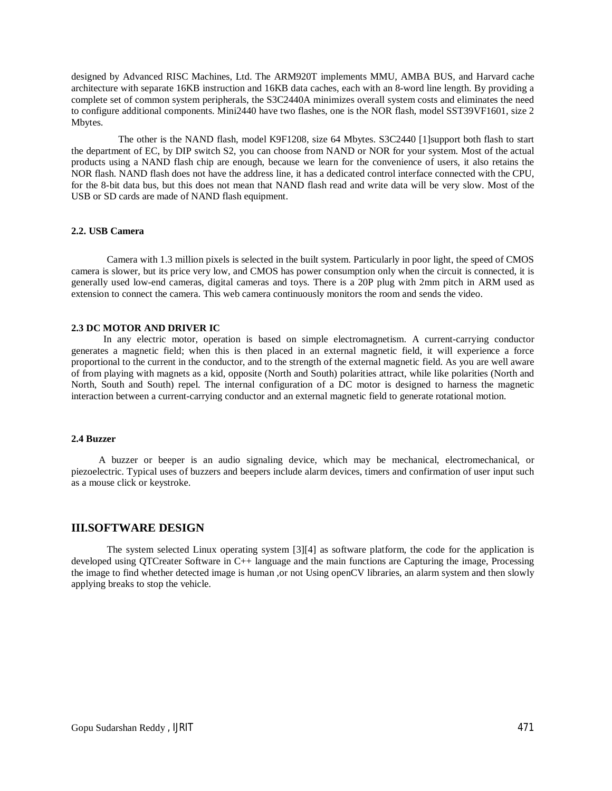designed by Advanced RISC Machines, Ltd. The ARM920T implements MMU, AMBA BUS, and Harvard cache architecture with separate 16KB instruction and 16KB data caches, each with an 8-word line length. By providing a complete set of common system peripherals, the S3C2440A minimizes overall system costs and eliminates the need to configure additional components. Mini2440 have two flashes, one is the NOR flash, model SST39VF1601, size 2 Mbytes.

 The other is the NAND flash, model K9F1208, size 64 Mbytes. S3C2440 [1]support both flash to start the department of EC, by DIP switch S2, you can choose from NAND or NOR for your system. Most of the actual products using a NAND flash chip are enough, because we learn for the convenience of users, it also retains the NOR flash. NAND flash does not have the address line, it has a dedicated control interface connected with the CPU, for the 8-bit data bus, but this does not mean that NAND flash read and write data will be very slow. Most of the USB or SD cards are made of NAND flash equipment.

## **2.2. USB Camera**

Camera with 1.3 million pixels is selected in the built system. Particularly in poor light, the speed of CMOS camera is slower, but its price very low, and CMOS has power consumption only when the circuit is connected, it is generally used low-end cameras, digital cameras and toys. There is a 20P plug with 2mm pitch in ARM used as extension to connect the camera. This web camera continuously monitors the room and sends the video.

#### **2.3 DC MOTOR AND DRIVER IC**

In any electric motor, operation is based on simple electromagnetism. A current-carrying conductor generates a magnetic field; when this is then placed in an external magnetic field, it will experience a force proportional to the current in the conductor, and to the strength of the external magnetic field. As you are well aware of from playing with magnets as a kid, opposite (North and South) polarities attract, while like polarities (North and North, South and South) repel. The internal configuration of a DC motor is designed to harness the magnetic interaction between a current-carrying conductor and an external magnetic field to generate rotational motion.

#### **2.4 Buzzer**

A buzzer or beeper is an audio signaling device, which may be mechanical, electromechanical, or piezoelectric. Typical uses of buzzers and beepers include alarm devices, timers and confirmation of user input such as a mouse click or keystroke.

## **III.SOFTWARE DESIGN**

The system selected Linux operating system [3][4] as software platform, the code for the application is developed using QTCreater Software in C++ language and the main functions are Capturing the image, Processing the image to find whether detected image is human ,or not Using openCV libraries, an alarm system and then slowly applying breaks to stop the vehicle.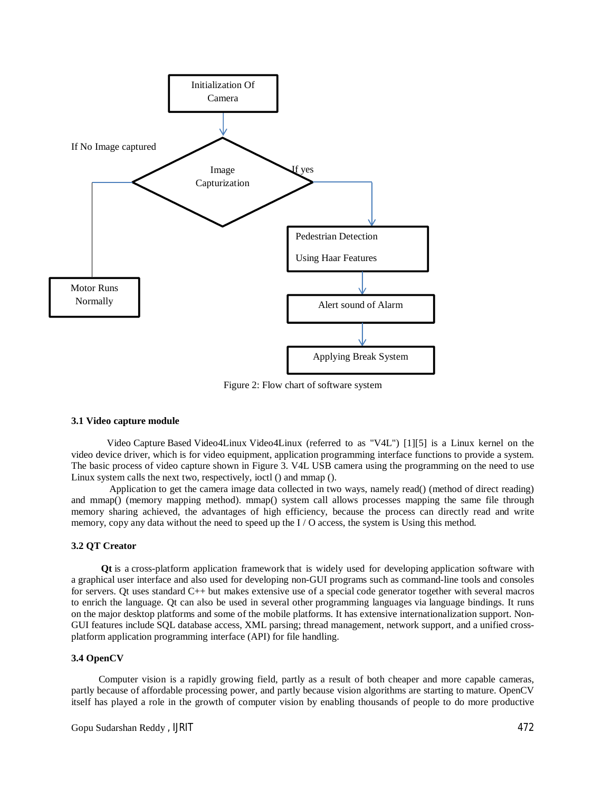

Figure 2: Flow chart of software system

### **3.1 Video capture module**

Video Capture Based Video4Linux Video4Linux (referred to as "V4L") [1][5] is a Linux kernel on the video device driver, which is for video equipment, application programming interface functions to provide a system. The basic process of video capture shown in Figure 3. V4L USB camera using the programming on the need to use Linux system calls the next two, respectively, ioctl () and mmap ().

Application to get the camera image data collected in two ways, namely read() (method of direct reading) and mmap() (memory mapping method). mmap() system call allows processes mapping the same file through memory sharing achieved, the advantages of high efficiency, because the process can directly read and write memory, copy any data without the need to speed up the I / O access, the system is Using this method.

#### **3.2 QT Creator**

 **Qt** is a cross-platform application framework that is widely used for developing application software with a graphical user interface and also used for developing non-GUI programs such as command-line tools and consoles for servers. Qt uses standard C++ but makes extensive use of a special code generator together with several macros to enrich the language. Qt can also be used in several other programming languages via language bindings. It runs on the major desktop platforms and some of the mobile platforms. It has extensive internationalization support. Non-GUI features include SQL database access, XML parsing; thread management, network support, and a unified crossplatform application programming interface (API) for file handling.

#### **3.4 OpenCV**

Computer vision is a rapidly growing field, partly as a result of both cheaper and more capable cameras, partly because of affordable processing power, and partly because vision algorithms are starting to mature. OpenCV itself has played a role in the growth of computer vision by enabling thousands of people to do more productive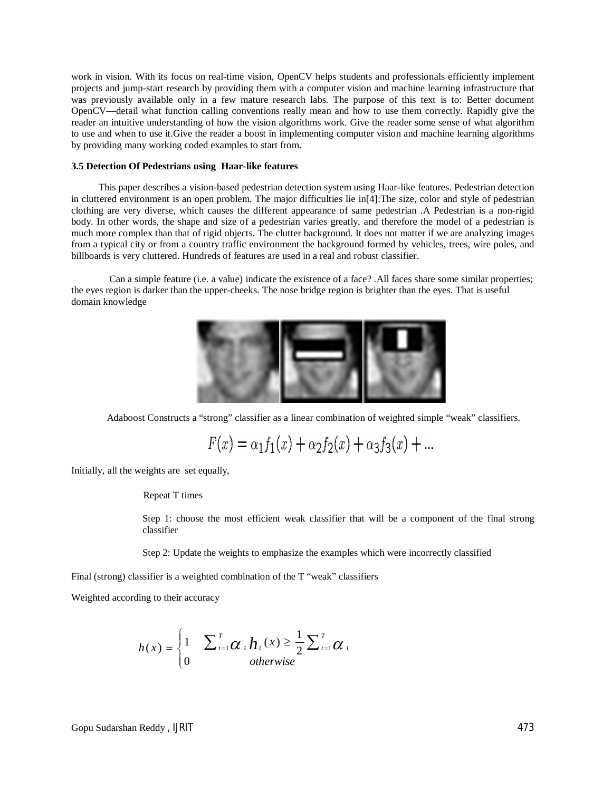work in vision. With its focus on real-time vision, OpenCV helps students and professionals efficiently implement projects and jump-start research by providing them with a computer vision and machine learning infrastructure that was previously available only in a few mature research labs. The purpose of this text is to: Better document OpenCV—detail what function calling conventions really mean and how to use them correctly. Rapidly give the reader an intuitive understanding of how the vision algorithms work. Give the reader some sense of what algorithm to use and when to use it.Give the reader a boost in implementing computer vision and machine learning algorithms by providing many working coded examples to start from.

#### **3.5 Detection Of Pedestrians using Haar-like features**

This paper describes a vision-based pedestrian detection system using Haar-like features. Pedestrian detection in cluttered environment is an open problem. The major difficulties lie in[4]:The size, color and style of pedestrian clothing are very diverse, which causes the different appearance of same pedestrian .A Pedestrian is a non-rigid body. In other words, the shape and size of a pedestrian varies greatly, and therefore the model of a pedestrian is much more complex than that of rigid objects. The clutter background. It does not matter if we are analyzing images from a typical city or from a country traffic environment the background formed by vehicles, trees, wire poles, and billboards is very cluttered. Hundreds of features are used in a real and robust classifier.

Can a simple feature (i.e. a value) indicate the existence of a face? .All faces share some similar properties; the eyes region is darker than the upper-cheeks. The nose bridge region is brighter than the eyes. That is useful domain knowledge



Adaboost Constructs a "strong" classifier as a linear combination of weighted simple "weak" classifiers.

 $F(x) = \alpha_1 f_1(x) + \alpha_2 f_2(x) + \alpha_3 f_3(x) + ...$ 

Initially, all the weights are set equally,

Repeat T times

Step 1: choose the most efficient weak classifier that will be a component of the final strong classifier

Step 2: Update the weights to emphasize the examples which were incorrectly classified

Final (strong) classifier is a weighted combination of the T "weak" classifiers

Weighted according to their accuracy

$$
h(x) = \begin{cases} 1 & \sum_{t=1}^{T} \alpha_t h_t(x) \geq \frac{1}{2} \sum_{t=1}^{T} \alpha_t \\ 0 & otherwise \end{cases}
$$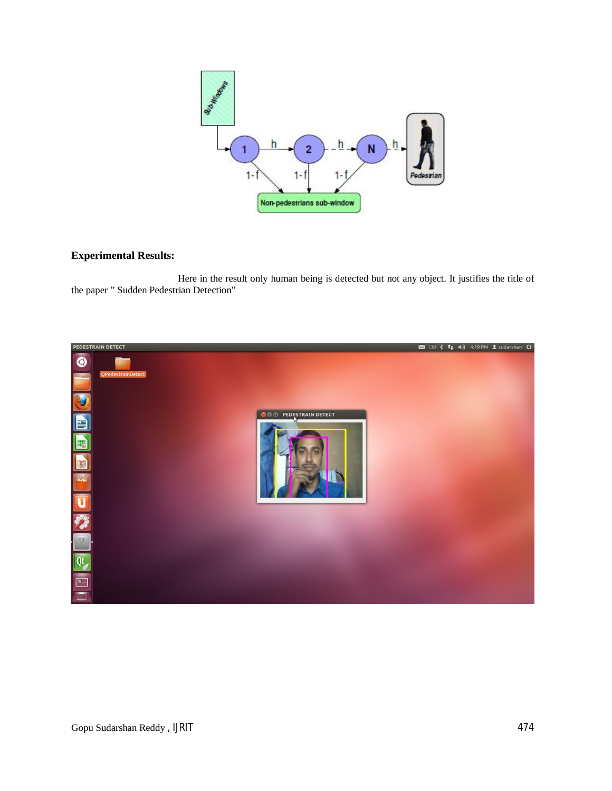

# **Experimental Results:**

 Here in the result only human being is detected but not any object. It justifies the title of the paper " Sudden Pedestrian Detection"